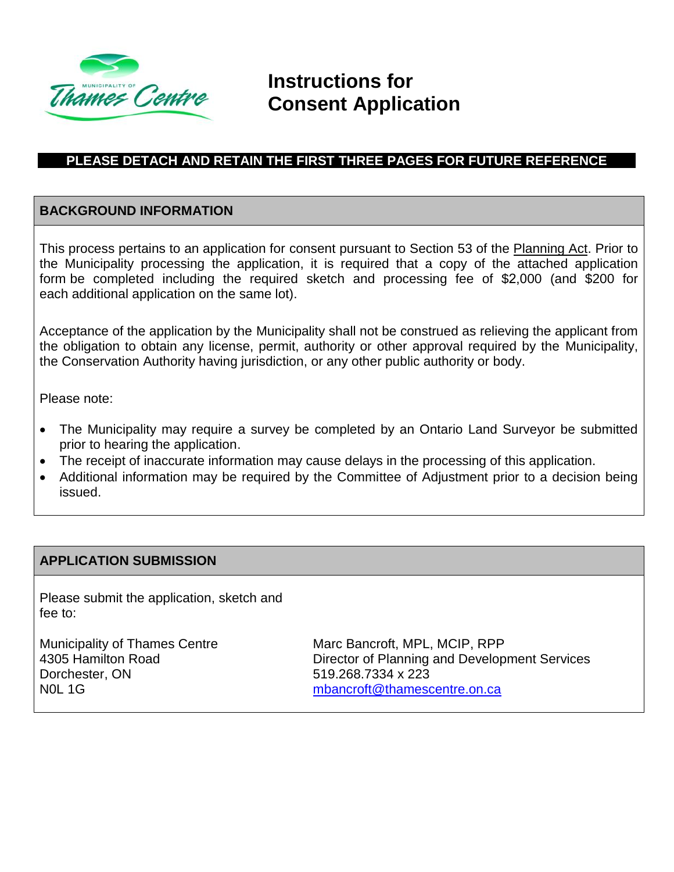

## **Instructions for Consent Application**

## **PLEASE DETACH AND RETAIN THE FIRST THREE PAGES FOR FUTURE REFERENCE**

#### **BACKGROUND INFORMATION**

This process pertains to an application for consent pursuant to Section 53 of the Planning Act. Prior to the Municipality processing the application, it is required that a copy of the attached application form be completed including the required sketch and processing fee of \$2,000 (and \$200 for each additional application on the same lot).

Acceptance of the application by the Municipality shall not be construed as relieving the applicant from the obligation to obtain any license, permit, authority or other approval required by the Municipality, the Conservation Authority having jurisdiction, or any other public authority or body.

Please note:

- The Municipality may require a survey be completed by an Ontario Land Surveyor be submitted prior to hearing the application.
- The receipt of inaccurate information may cause delays in the processing of this application.
- Additional information may be required by the Committee of Adjustment prior to a decision being issued.

#### **APPLICATION SUBMISSION**

Please submit the application, sketch and fee to:

Municipality of Thames Centre 4305 Hamilton Road Dorchester, ON N0L 1G

Marc Bancroft, MPL, MCIP, RPP Director of Planning and Development Services 519.268.7334 x 223 [mbancroft@thamescentre.on.ca](mailto:mbancroft@thamescentre.on.ca)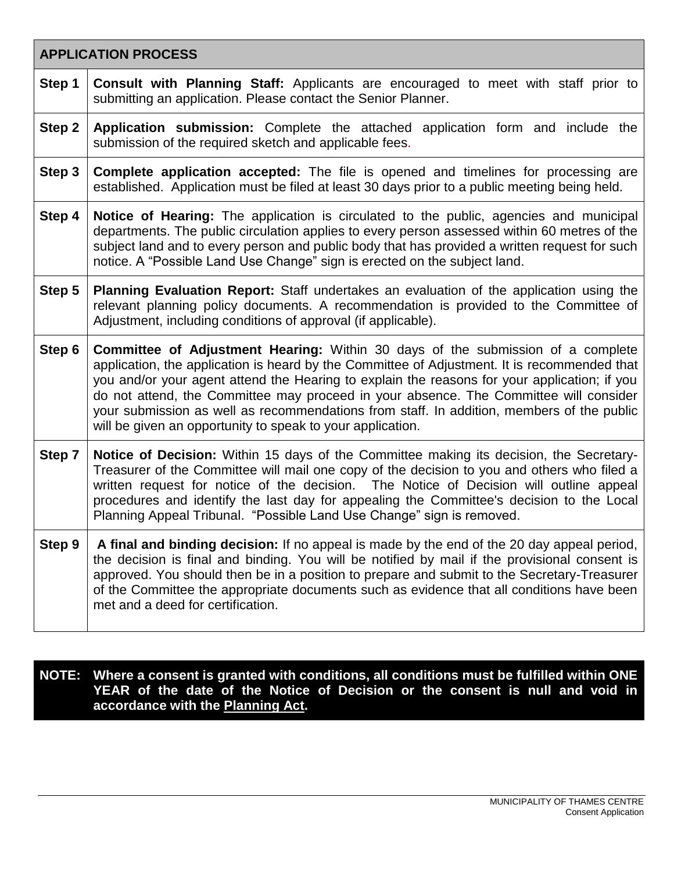|        | <b>APPLICATION PROCESS</b>                                                                                                                                                                                                                                                                                                                                                                                                                                                                                                                 |
|--------|--------------------------------------------------------------------------------------------------------------------------------------------------------------------------------------------------------------------------------------------------------------------------------------------------------------------------------------------------------------------------------------------------------------------------------------------------------------------------------------------------------------------------------------------|
| Step 1 | <b>Consult with Planning Staff:</b> Applicants are encouraged to meet with staff prior to<br>submitting an application. Please contact the Senior Planner.                                                                                                                                                                                                                                                                                                                                                                                 |
| Step 2 | Application submission: Complete the attached application form and include the<br>submission of the required sketch and applicable fees.                                                                                                                                                                                                                                                                                                                                                                                                   |
| Step 3 | <b>Complete application accepted:</b> The file is opened and timelines for processing are<br>established. Application must be filed at least 30 days prior to a public meeting being held.                                                                                                                                                                                                                                                                                                                                                 |
| Step 4 | Notice of Hearing: The application is circulated to the public, agencies and municipal<br>departments. The public circulation applies to every person assessed within 60 metres of the<br>subject land and to every person and public body that has provided a written request for such<br>notice. A "Possible Land Use Change" sign is erected on the subject land.                                                                                                                                                                       |
| Step 5 | <b>Planning Evaluation Report:</b> Staff undertakes an evaluation of the application using the<br>relevant planning policy documents. A recommendation is provided to the Committee of<br>Adjustment, including conditions of approval (if applicable).                                                                                                                                                                                                                                                                                    |
| Step 6 | <b>Committee of Adjustment Hearing:</b> Within 30 days of the submission of a complete<br>application, the application is heard by the Committee of Adjustment. It is recommended that<br>you and/or your agent attend the Hearing to explain the reasons for your application; if you<br>do not attend, the Committee may proceed in your absence. The Committee will consider<br>your submission as well as recommendations from staff. In addition, members of the public<br>will be given an opportunity to speak to your application. |
| Step 7 | Notice of Decision: Within 15 days of the Committee making its decision, the Secretary-<br>Treasurer of the Committee will mail one copy of the decision to you and others who filed a<br>written request for notice of the decision. The Notice of Decision will outline appeal<br>procedures and identify the last day for appealing the Committee's decision to the Local<br>Planning Appeal Tribunal. "Possible Land Use Change" sign is removed.                                                                                      |
| Step 9 | A final and binding decision: If no appeal is made by the end of the 20 day appeal period,<br>the decision is final and binding. You will be notified by mail if the provisional consent is<br>approved. You should then be in a position to prepare and submit to the Secretary-Treasurer<br>of the Committee the appropriate documents such as evidence that all conditions have been<br>met and a deed for certification.                                                                                                               |

**NOTE: Where a consent is granted with conditions, all conditions must be fulfilled within ONE YEAR of the date of the Notice of Decision or the consent is null and void in accordance with the Planning Act.**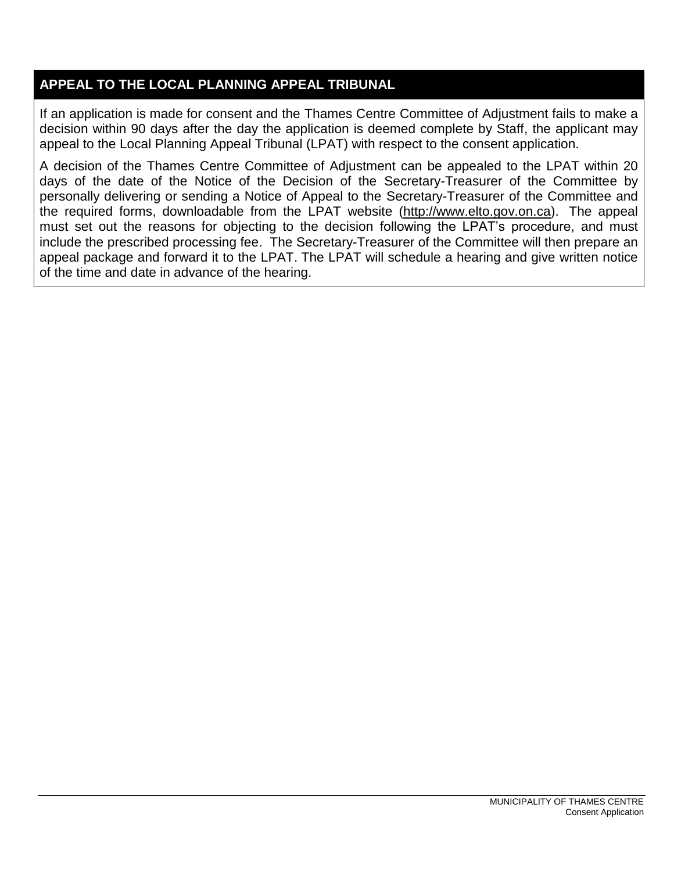## **APPEAL TO THE LOCAL PLANNING APPEAL TRIBUNAL**

If an application is made for consent and the Thames Centre Committee of Adjustment fails to make a decision within 90 days after the day the application is deemed complete by Staff, the applicant may appeal to the Local Planning Appeal Tribunal (LPAT) with respect to the consent application.

A decision of the Thames Centre Committee of Adjustment can be appealed to the LPAT within 20 days of the date of the Notice of the Decision of the Secretary-Treasurer of the Committee by personally delivering or sending a Notice of Appeal to the Secretary-Treasurer of the Committee and the required forms, downloadable from the LPAT website [\(http://www.elto.gov.on.ca\)](http://www.elto.gov.on.ca/). The appeal must set out the reasons for objecting to the decision following the LPAT's procedure, and must include the prescribed processing fee. The Secretary-Treasurer of the Committee will then prepare an appeal package and forward it to the LPAT. The LPAT will schedule a hearing and give written notice of the time and date in advance of the hearing.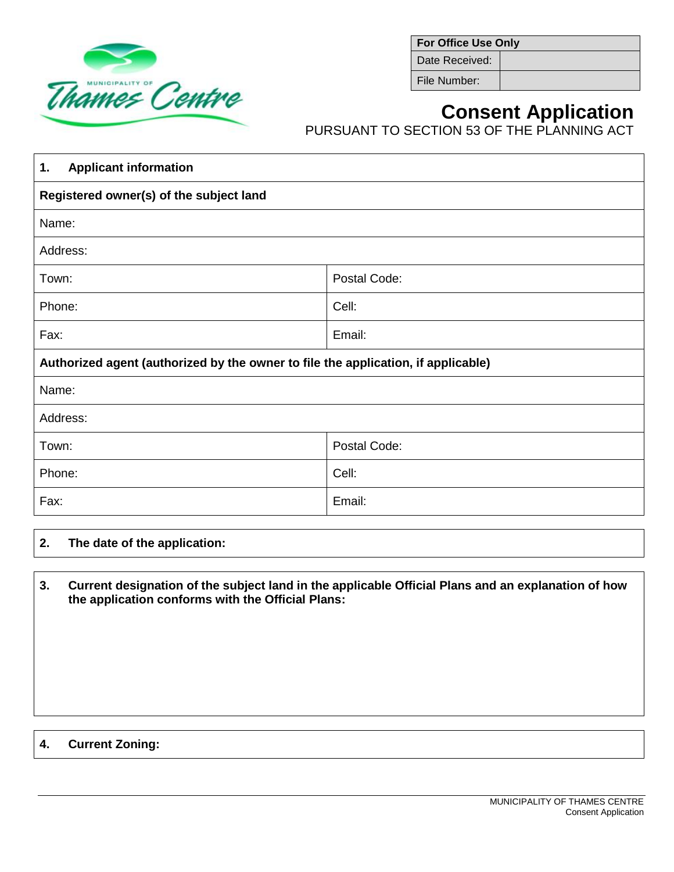

**For Office Use Only**

Date Received:

File Number:

# **Consent Application**

PURSUANT TO SECTION 53 OF THE PLANNING ACT

| <b>Applicant information</b><br>1.                                                |              |  |  |  |
|-----------------------------------------------------------------------------------|--------------|--|--|--|
| Registered owner(s) of the subject land                                           |              |  |  |  |
| Name:                                                                             |              |  |  |  |
| Address:                                                                          |              |  |  |  |
| Town:                                                                             | Postal Code: |  |  |  |
| Phone:                                                                            | Cell:        |  |  |  |
| Fax:                                                                              | Email:       |  |  |  |
| Authorized agent (authorized by the owner to file the application, if applicable) |              |  |  |  |
| Name:                                                                             |              |  |  |  |
| Address:                                                                          |              |  |  |  |
| Town:                                                                             | Postal Code: |  |  |  |
| Phone:                                                                            | Cell:        |  |  |  |
| Fax:                                                                              | Email:       |  |  |  |

#### **2. The date of the application:**

**3. Current designation of the subject land in the applicable Official Plans and an explanation of how the application conforms with the Official Plans:**

#### **4. Current Zoning:**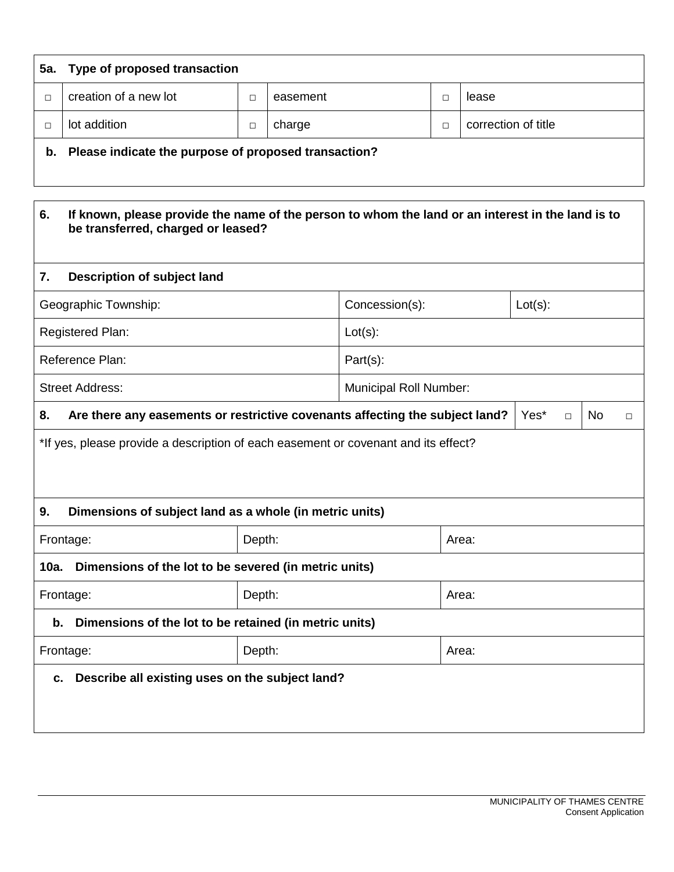| 5a. | Type of proposed transaction                         |   |          |        |                     |
|-----|------------------------------------------------------|---|----------|--------|---------------------|
|     | creation of a new lot                                |   | easement | П      | lease               |
|     | lot addition                                         | □ | charge   | $\Box$ | correction of title |
| b.  | Please indicate the purpose of proposed transaction? |   |          |        |                     |

| 6.   | If known, please provide the name of the person to whom the land or an interest in the land is to<br>be transferred, charged or leased? |        |                        |       |            |        |           |        |
|------|-----------------------------------------------------------------------------------------------------------------------------------------|--------|------------------------|-------|------------|--------|-----------|--------|
| 7.   | Description of subject land                                                                                                             |        |                        |       |            |        |           |        |
|      | Geographic Township:                                                                                                                    |        | Concession(s):         |       | $Lot(s)$ : |        |           |        |
|      | <b>Registered Plan:</b>                                                                                                                 |        | $Lot(s)$ :             |       |            |        |           |        |
|      | Reference Plan:                                                                                                                         |        | Part(s):               |       |            |        |           |        |
|      | <b>Street Address:</b>                                                                                                                  |        | Municipal Roll Number: |       |            |        |           |        |
| 8.   | Are there any easements or restrictive covenants affecting the subject land?                                                            |        |                        |       | Yes*       | $\Box$ | <b>No</b> | $\Box$ |
|      | *If yes, please provide a description of each easement or covenant and its effect?                                                      |        |                        |       |            |        |           |        |
|      | Dimensions of subject land as a whole (in metric units)<br>9.                                                                           |        |                        |       |            |        |           |        |
|      | Frontage:<br>Depth:                                                                                                                     |        |                        | Area: |            |        |           |        |
| 10a. | Dimensions of the lot to be severed (in metric units)                                                                                   |        |                        |       |            |        |           |        |
|      | Frontage:                                                                                                                               | Depth: |                        | Area: |            |        |           |        |
| b.   | Dimensions of the lot to be retained (in metric units)                                                                                  |        |                        |       |            |        |           |        |
|      | Frontage:                                                                                                                               | Depth: |                        | Area: |            |        |           |        |
|      | Describe all existing uses on the subject land?<br>c.                                                                                   |        |                        |       |            |        |           |        |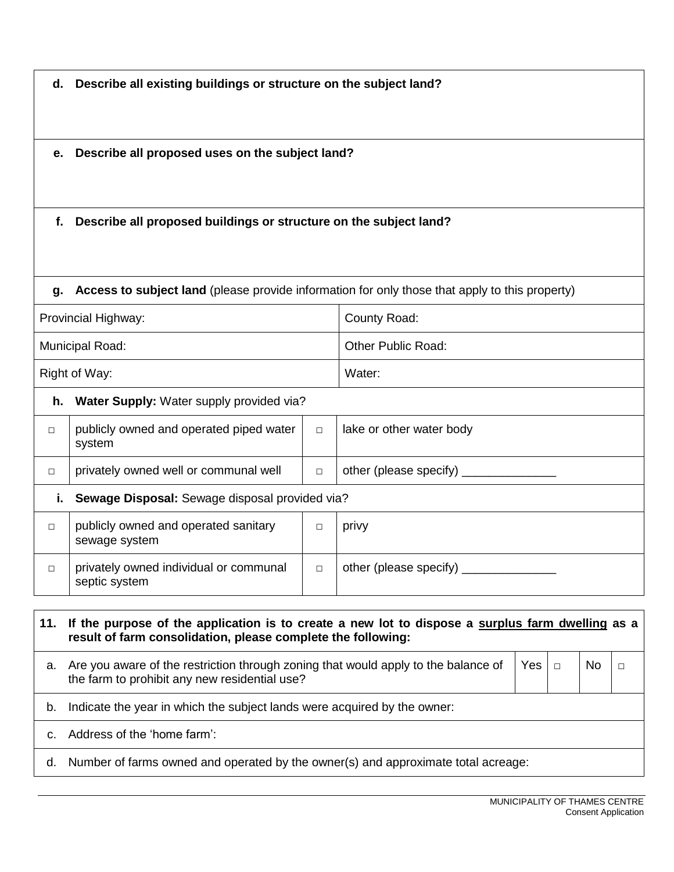|  | d. Describe all existing buildings or structure on the subject land? |
|--|----------------------------------------------------------------------|
|  |                                                                      |

#### **e. Describe all proposed uses on the subject land?**

#### **f. Describe all proposed buildings or structure on the subject land?**

#### **g. Access to subject land** (please provide information for only those that apply to this property)

| Provincial Highway: | County Road:              |
|---------------------|---------------------------|
| Municipal Road:     | <b>Other Public Road:</b> |
|                     |                           |

Right of Way: Notice May: Notice May 2012 12:00 Notice May 2012 12:00 Notice May 2012 12:00 Notice May 2013 12:00 Notice May 2014 12:00 Notice May 2014 12:00 Notice May 2014 12:00 Notice May 2014 12:00 Notice May 2014 12:0

**h. Water Supply:** Water supply provided via?

| publicly owned and operated piped water<br>system | $\Box$ | lake or other water body |  |  |
|---------------------------------------------------|--------|--------------------------|--|--|
| privately owned well or communal well             |        | other (please specify)   |  |  |
| Sewage Disposal: Sewage disposal provided via?    |        |                          |  |  |
| publicly owned and operated sanitary              |        | privy                    |  |  |

| sewage system                                           |                        |
|---------------------------------------------------------|------------------------|
| privately owned individual or communal<br>septic system | other (please specify) |

| 11.          | If the purpose of the application is to create a new lot to dispose a surplus farm dwelling as a<br>result of farm consolidation, please complete the following: |     |  |  |
|--------------|------------------------------------------------------------------------------------------------------------------------------------------------------------------|-----|--|--|
| а.           | Are you aware of the restriction through zoning that would apply to the balance of<br>the farm to prohibit any new residential use?                              | Yes |  |  |
| b.           | Indicate the year in which the subject lands were acquired by the owner:                                                                                         |     |  |  |
| $\mathsf{C}$ | Address of the 'home farm':                                                                                                                                      |     |  |  |
| d.           | Number of farms owned and operated by the owner(s) and approximate total acreage:                                                                                |     |  |  |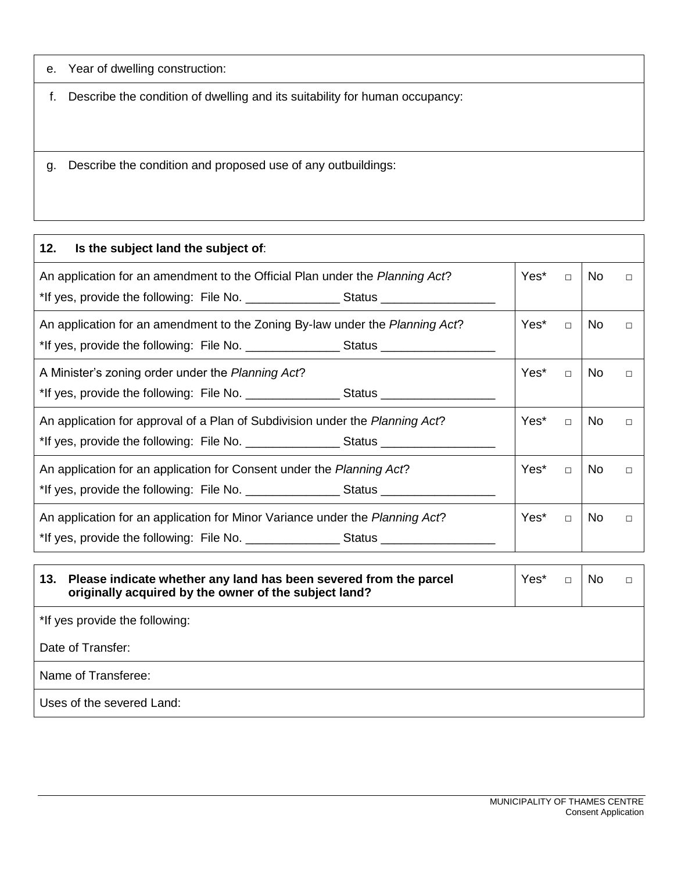e. Year of dwelling construction:

f. Describe the condition of dwelling and its suitability for human occupancy:

g. Describe the condition and proposed use of any outbuildings:

| 12.<br>Is the subject land the subject of:                                                                                        |      |        |           |        |
|-----------------------------------------------------------------------------------------------------------------------------------|------|--------|-----------|--------|
| An application for an amendment to the Official Plan under the Planning Act?                                                      | Yes* | $\Box$ | No.       | П      |
|                                                                                                                                   |      |        |           |        |
| An application for an amendment to the Zoning By-law under the Planning Act?                                                      | Yes* | $\Box$ | No.       | $\Box$ |
|                                                                                                                                   |      |        |           |        |
| A Minister's zoning order under the Planning Act?                                                                                 | Yes* | $\Box$ | <b>No</b> | $\Box$ |
| *If yes, provide the following: File No. ___________________Status ______________                                                 |      |        |           |        |
| An application for approval of a Plan of Subdivision under the Planning Act?                                                      |      | $\Box$ | No.       | $\Box$ |
|                                                                                                                                   |      |        |           |        |
| An application for an application for Consent under the Planning Act?                                                             |      |        | <b>No</b> | $\Box$ |
| *If yes, provide the following: File No. __________________Status _______________                                                 |      |        |           |        |
| An application for an application for Minor Variance under the Planning Act?                                                      |      |        | No.       | $\Box$ |
| *If yes, provide the following: File No. ________________Status ________________                                                  |      |        |           |        |
|                                                                                                                                   |      |        |           |        |
| Please indicate whether any land has been severed from the parcel<br>13.<br>originally acquired by the owner of the subject land? | Yes* | $\Box$ | No.       | $\Box$ |

\*If yes provide the following:

Date of Transfer:

Name of Transferee:

Uses of the severed Land: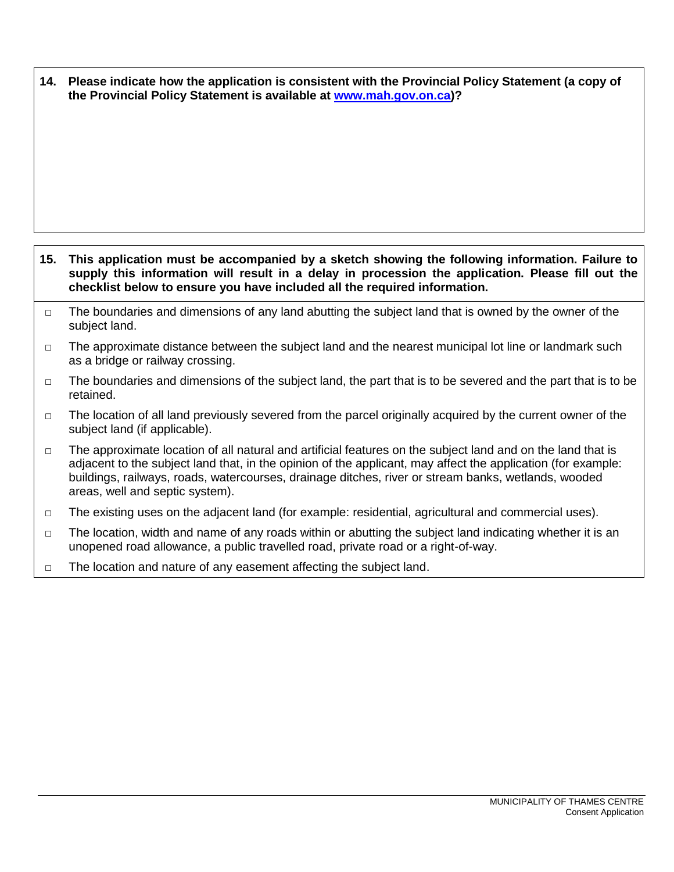| 14. Please indicate how the application is consistent with the Provincial Policy Statement (a copy of |
|-------------------------------------------------------------------------------------------------------|
| the Provincial Policy Statement is available at www.mah.gov.on.ca)?                                   |

| 15.    | This application must be accompanied by a sketch showing the following information. Failure to<br>supply this information will result in a delay in procession the application. Please fill out the<br>checklist below to ensure you have included all the required information.                                                                                      |
|--------|-----------------------------------------------------------------------------------------------------------------------------------------------------------------------------------------------------------------------------------------------------------------------------------------------------------------------------------------------------------------------|
| $\Box$ | The boundaries and dimensions of any land abutting the subject land that is owned by the owner of the<br>subject land.                                                                                                                                                                                                                                                |
| $\Box$ | The approximate distance between the subject land and the nearest municipal lot line or landmark such<br>as a bridge or railway crossing.                                                                                                                                                                                                                             |
| $\Box$ | The boundaries and dimensions of the subject land, the part that is to be severed and the part that is to be<br>retained.                                                                                                                                                                                                                                             |
| $\Box$ | The location of all land previously severed from the parcel originally acquired by the current owner of the<br>subject land (if applicable).                                                                                                                                                                                                                          |
| $\Box$ | The approximate location of all natural and artificial features on the subject land and on the land that is<br>adjacent to the subject land that, in the opinion of the applicant, may affect the application (for example:<br>buildings, railways, roads, watercourses, drainage ditches, river or stream banks, wetlands, wooded<br>areas, well and septic system). |
| $\Box$ | The existing uses on the adjacent land (for example: residential, agricultural and commercial uses).                                                                                                                                                                                                                                                                  |
| $\Box$ | The location, width and name of any roads within or abutting the subject land indicating whether it is an<br>unopened road allowance, a public travelled road, private road or a right-of-way.                                                                                                                                                                        |

□ The location and nature of any easement affecting the subject land.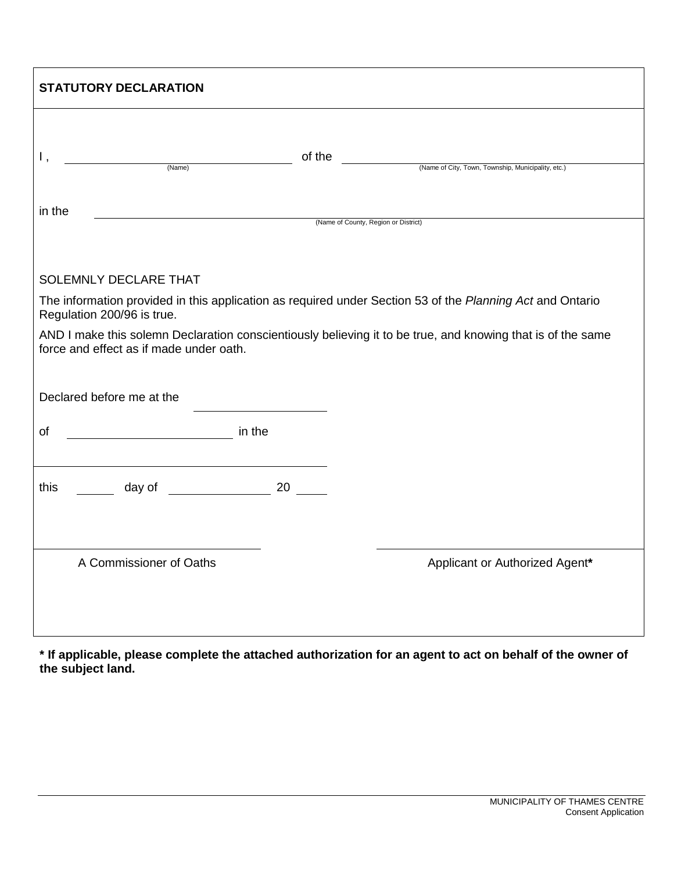| <b>STATUTORY DECLARATION</b>                                                                                                                           |          |                                                    |  |
|--------------------------------------------------------------------------------------------------------------------------------------------------------|----------|----------------------------------------------------|--|
| Ι,<br>(Name)                                                                                                                                           | of the   | (Name of City, Town, Township, Municipality, etc.) |  |
| in the                                                                                                                                                 |          | (Name of County, Region or District)               |  |
|                                                                                                                                                        |          |                                                    |  |
| SOLEMNLY DECLARE THAT                                                                                                                                  |          |                                                    |  |
| The information provided in this application as required under Section 53 of the Planning Act and Ontario<br>Regulation 200/96 is true.                |          |                                                    |  |
| AND I make this solemn Declaration conscientiously believing it to be true, and knowing that is of the same<br>force and effect as if made under oath. |          |                                                    |  |
|                                                                                                                                                        |          |                                                    |  |
| Declared before me at the                                                                                                                              |          |                                                    |  |
| <u><b>Example 2</b></u> in the<br>οf                                                                                                                   |          |                                                    |  |
|                                                                                                                                                        |          |                                                    |  |
| day of the control of the control of the control of the control of the control of the control of the control of<br>this                                | 20 30 31 |                                                    |  |
|                                                                                                                                                        |          |                                                    |  |
| A Commissioner of Oaths                                                                                                                                |          | Applicant or Authorized Agent*                     |  |
|                                                                                                                                                        |          |                                                    |  |
|                                                                                                                                                        |          |                                                    |  |

**\* If applicable, please complete the attached authorization for an agent to act on behalf of the owner of the subject land.**